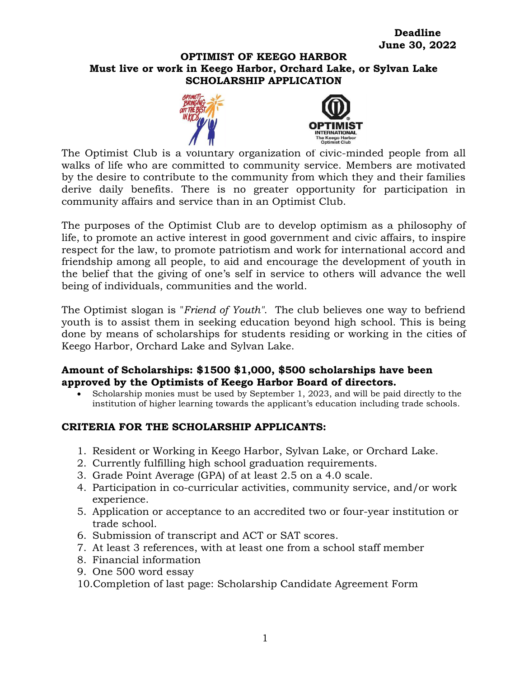### **OPTIMIST OF KEEGO HARBOR Must live or work in Keego Harbor, Orchard Lake, or Sylvan Lake SCHOLARSHIP APPLICATION**





The Optimist Club is a voluntary organization of civic-minded people from all walks of life who are committed to community service. Members are motivated by the desire to contribute to the community from which they and their families derive daily benefits. There is no greater opportunity for participation in community affairs and service than in an Optimist Club.

The purposes of the Optimist Club are to develop optimism as a philosophy of life, to promote an active interest in good government and civic affairs, to inspire respect for the law, to promote patriotism and work for international accord and friendship among all people, to aid and encourage the development of youth in the belief that the giving of one's self in service to others will advance the well being of individuals, communities and the world.

The Optimist slogan is "*Friend of Youth"*. The club believes one way to befriend youth is to assist them in seeking education beyond high school. This is being done by means of scholarships for students residing or working in the cities of Keego Harbor, Orchard Lake and Sylvan Lake.

## **Amount of Scholarships: \$1500 \$1,000, \$500 scholarships have been approved by the Optimists of Keego Harbor Board of directors.**

 Scholarship monies must be used by September 1, 2023, and will be paid directly to the institution of higher learning towards the applicant's education including trade schools.

# **CRITERIA FOR THE SCHOLARSHIP APPLICANTS:**

- 1. Resident or Working in Keego Harbor, Sylvan Lake, or Orchard Lake.
- 2. Currently fulfilling high school graduation requirements.
- 3. Grade Point Average (GPA) of at least 2.5 on a 4.0 scale.
- 4. Participation in co-curricular activities, community service, and/or work experience.
- 5. Application or acceptance to an accredited two or four-year institution or trade school.
- 6. Submission of transcript and ACT or SAT scores.
- 7. At least 3 references, with at least one from a school staff member
- 8. Financial information
- 9. One 500 word essay
- 10.Completion of last page: Scholarship Candidate Agreement Form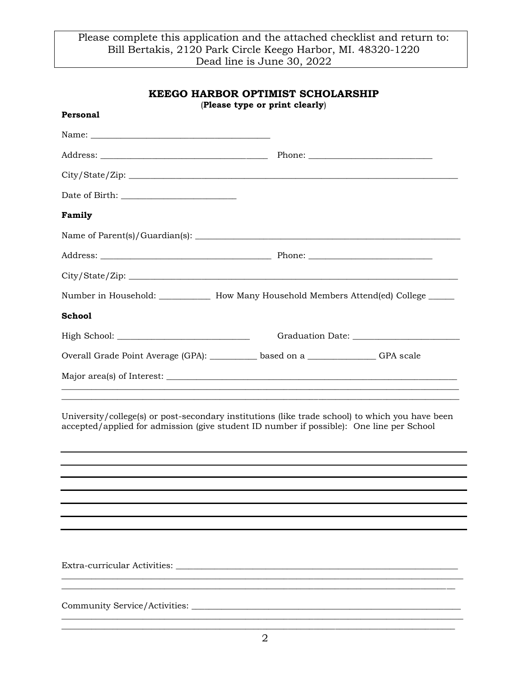| <b>KEEGO HARBOR OPTIMIST SCHOLARSHIP</b>                                                                                                                                                    |  |  |  |  |
|---------------------------------------------------------------------------------------------------------------------------------------------------------------------------------------------|--|--|--|--|
| (Please type or print clearly)<br>Personal                                                                                                                                                  |  |  |  |  |
|                                                                                                                                                                                             |  |  |  |  |
|                                                                                                                                                                                             |  |  |  |  |
| City/State/Zip:                                                                                                                                                                             |  |  |  |  |
|                                                                                                                                                                                             |  |  |  |  |
| Family                                                                                                                                                                                      |  |  |  |  |
|                                                                                                                                                                                             |  |  |  |  |
|                                                                                                                                                                                             |  |  |  |  |
|                                                                                                                                                                                             |  |  |  |  |
| Number in Household: ____________ How Many Household Members Attend(ed) College _____                                                                                                       |  |  |  |  |
| <b>School</b>                                                                                                                                                                               |  |  |  |  |
|                                                                                                                                                                                             |  |  |  |  |
| Overall Grade Point Average (GPA): _________ based on a _____________ GPA scale                                                                                                             |  |  |  |  |
|                                                                                                                                                                                             |  |  |  |  |
|                                                                                                                                                                                             |  |  |  |  |
| University/college(s) or post-secondary institutions (like trade school) to which you have been<br>accepted/applied for admission (give student ID number if possible): One line per School |  |  |  |  |
|                                                                                                                                                                                             |  |  |  |  |
|                                                                                                                                                                                             |  |  |  |  |
|                                                                                                                                                                                             |  |  |  |  |
|                                                                                                                                                                                             |  |  |  |  |
|                                                                                                                                                                                             |  |  |  |  |
|                                                                                                                                                                                             |  |  |  |  |
|                                                                                                                                                                                             |  |  |  |  |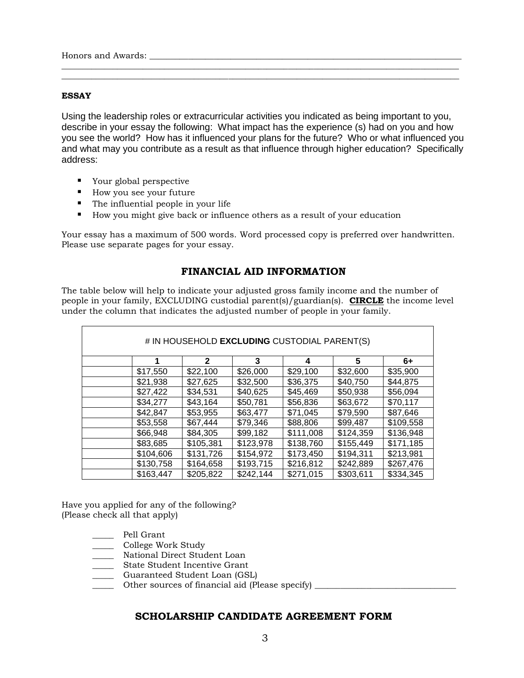Honors and Awards:  $\blacksquare$ 

#### **ESSAY**

Using the leadership roles or extracurricular activities you indicated as being important to you, describe in your essay the following: What impact has the experience (s) had on you and how you see the world? How has it influenced your plans for the future? Who or what influenced you and what may you contribute as a result as that influence through higher education? Specifically address:

\_\_\_\_\_\_\_\_\_\_\_\_\_\_\_\_\_\_\_\_\_\_\_\_\_\_\_\_\_\_\_\_\_\_\_\_\_\_\_\_\_\_\_\_\_\_\_\_\_\_\_\_\_\_\_\_\_\_\_\_\_\_\_\_\_\_\_\_\_\_\_\_\_\_\_\_\_\_\_\_\_\_\_\_\_\_\_\_\_\_\_\_\_ \_\_\_\_\_\_\_\_\_\_\_\_\_\_\_\_\_\_\_\_\_\_\_\_\_\_\_\_\_\_\_\_\_\_\_\_\_\_\_\_\_\_\_\_\_\_\_\_\_\_\_\_\_\_\_\_\_\_\_\_\_\_\_\_\_\_\_\_\_\_\_\_\_\_\_\_\_\_\_\_\_\_\_\_\_\_\_\_\_\_\_\_\_

- Your global perspective
- How you see your future
- The influential people in your life
- How you might give back or influence others as a result of your education

Your essay has a maximum of 500 words. Word processed copy is preferred over handwritten. Please use separate pages for your essay.

### **FINANCIAL AID INFORMATION**

The table below will help to indicate your adjusted gross family income and the number of people in your family, EXCLUDING custodial parent(s)/guardian(s). **CIRCLE** the income level under the column that indicates the adjusted number of people in your family.

| # IN HOUSEHOLD EXCLUDING CUSTODIAL PARENT(S) |           |           |           |           |           |  |
|----------------------------------------------|-----------|-----------|-----------|-----------|-----------|--|
|                                              | 2         | 3         | 4         | 5         | 6+        |  |
| \$17,550                                     | \$22,100  | \$26,000  | \$29,100  | \$32,600  | \$35,900  |  |
| \$21,938                                     | \$27,625  | \$32,500  | \$36,375  | \$40,750  | \$44,875  |  |
| \$27,422                                     | \$34,531  | \$40,625  | \$45,469  | \$50,938  | \$56,094  |  |
| \$34,277                                     | \$43,164  | \$50,781  | \$56,836  | \$63,672  | \$70,117  |  |
| \$42,847                                     | \$53,955  | \$63,477  | \$71,045  | \$79,590  | \$87,646  |  |
| \$53,558                                     | \$67,444  | \$79,346  | \$88,806  | \$99,487  | \$109,558 |  |
| \$66,948                                     | \$84,305  | \$99,182  | \$111,008 | \$124,359 | \$136,948 |  |
| \$83,685                                     | \$105,381 | \$123,978 | \$138,760 | \$155,449 | \$171,185 |  |
| \$104,606                                    | \$131,726 | \$154,972 | \$173,450 | \$194,311 | \$213,981 |  |
| \$130,758                                    | \$164,658 | \$193,715 | \$216,812 | \$242,889 | \$267,476 |  |
| \$163,447                                    | \$205,822 | \$242,144 | \$271,015 | \$303,611 | \$334,345 |  |

Have you applied for any of the following? (Please check all that apply)

- \_\_\_\_\_ Pell Grant
- \_\_\_\_\_ College Work Study
- \_\_\_\_\_ National Direct Student Loan
- \_\_\_\_\_ State Student Incentive Grant
- \_\_\_\_\_ Guaranteed Student Loan (GSL)
- \_\_\_\_\_ Other sources of financial aid (Please specify) \_\_\_\_\_\_\_\_\_\_\_\_\_\_\_\_\_\_\_\_\_\_\_\_\_\_\_\_\_\_\_\_\_

#### **SCHOLARSHIP CANDIDATE AGREEMENT FORM**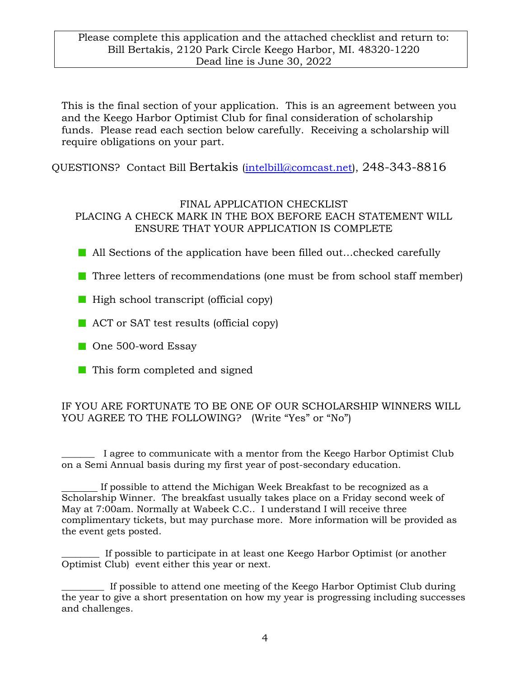This is the final section of your application. This is an agreement between you and the Keego Harbor Optimist Club for final consideration of scholarship funds. Please read each section below carefully. Receiving a scholarship will require obligations on your part.

QUESTIONS? Contact Bill Bertakis [\(intelbill@comcast.net\)](mailto:intelbill@comcast.net), 248-343-8816

## FINAL APPLICATION CHECKLIST PLACING A CHECK MARK IN THE BOX BEFORE EACH STATEMENT WILL ENSURE THAT YOUR APPLICATION IS COMPLETE

- All Sections of the application have been filled out...checked carefully
- $\blacksquare$  Three letters of recommendations (one must be from school staff member)
- High school transcript (official copy)
- ACT or SAT test results (official copy)
- One 500-word Essay
- This form completed and signed

# IF YOU ARE FORTUNATE TO BE ONE OF OUR SCHOLARSHIP WINNERS WILL YOU AGREE TO THE FOLLOWING? (Write "Yes" or "No")

I agree to communicate with a mentor from the Keego Harbor Optimist Club on a Semi Annual basis during my first year of post-secondary education.

 If possible to attend the Michigan Week Breakfast to be recognized as a Scholarship Winner. The breakfast usually takes place on a Friday second week of May at 7:00am. Normally at Wabeek C.C.. I understand I will receive three complimentary tickets, but may purchase more. More information will be provided as the event gets posted.

\_\_\_\_\_\_\_\_ If possible to participate in at least one Keego Harbor Optimist (or another Optimist Club) event either this year or next.

\_\_\_\_\_\_\_\_\_ If possible to attend one meeting of the Keego Harbor Optimist Club during the year to give a short presentation on how my year is progressing including successes and challenges.